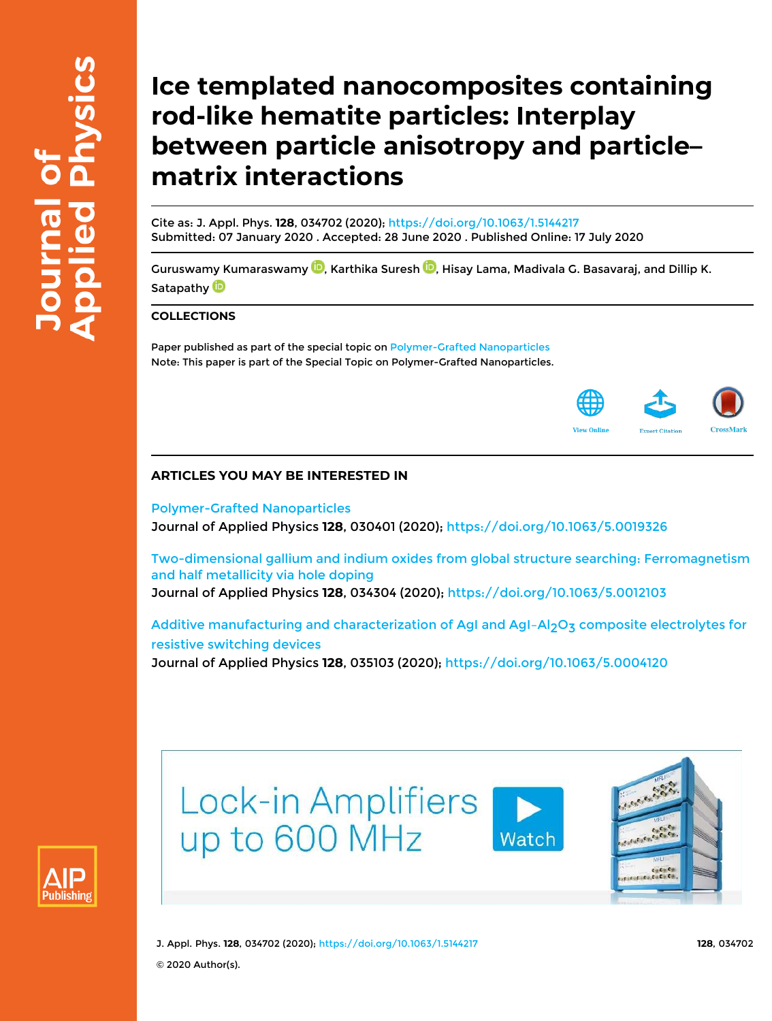# **Ice templated nanocomposites containing rod-like hematite particles: Interplay between particle anisotropy and particle– matrix interactions**

Cite as: J. Appl. Phys. **128**, 034702 (2020); https://doi.org/10.1063/1.5144217 Submitted: 07 January 2020 . Accepted: 28 June 2020 . Published Online: 17 July 2020

Guruswamy Kumaraswamy <sup>(D</sup>), Karthika Suresh <sup>(D</sup>), Hisay Lama, Madivala G. Basavaraj, and Dillip K. Satapathy<sup>D</sup>

### **COLLECTIONS**

Paper published as part of the special topic on Polymer-Grafted Nanoparticles Note: This paper is part of the Special Topic on Polymer-Grafted Nanoparticles.



## **ARTICLES YOU MAY BE INTERESTED IN**

Polymer-Grafted Nanoparticles Journal of Applied Physics **128**, 030401 (2020); https://doi.org/10.1063/5.0019326

Two-dimensional gallium and indium oxides from global structure searching: Ferromagnetism and half metallicity via hole doping Journal of Applied Physics **128**, 034304 (2020); https://doi.org/10.1063/5.0012103

Additive manufacturing and characterization of AgI and AgI-Al<sub>2</sub>O<sub>3</sub> composite electrolytes for resistive switching devices

Journal of Applied Physics **128**, 035103 (2020); https://doi.org/10.1063/5.0004120



Lock-in Amplifiers up to 600 MHz Watch



J. Appl. Phys. **128**, 034702 (2020); https://doi.org/10.1063/1.5144217 **128**, 034702 © 2020 Author(s).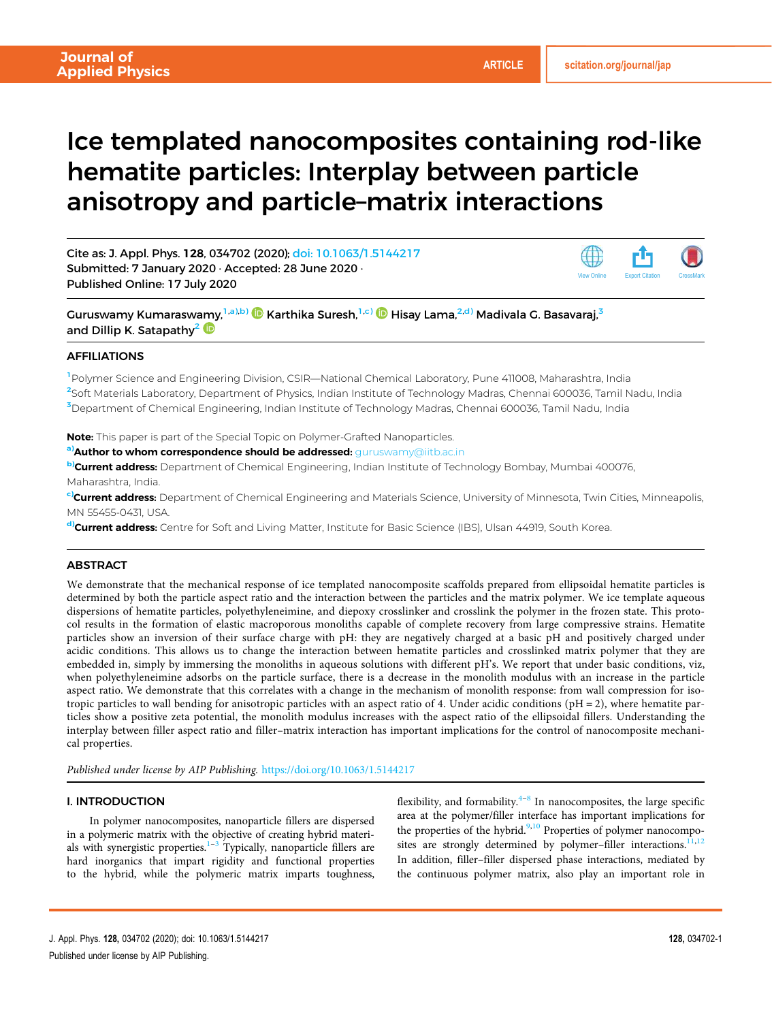View Online Export Citation CrossMark

# Ice templated nanocomposites containing rod-like hematite particles: Interplay between particle anisotropy and particle–matrix interactions

Cite as: J. Appl. Phys. 128, 034702 (2020); doi: 10.1063/1.5144217 Submitted: 7 January 2020 · Accepted: 28 June 2020 · Published Online: 17 July 2020

Guruswamy Kumaraswamy,<sup>1,a),b)</sup> (D Karthika Suresh,<sup>1,c)</sup> (D Hisay Lama,<sup>2,d)</sup> Madivala G. Basavaraj,<sup>3</sup> and Dillip K. Satapathy<sup>2</sup>

#### AFFILIATIONS

<sup>1</sup>Polymer Science and Engineering Division, CSIR—National Chemical Laboratory, Pune 411008, Maharashtra, India 2 Soft Materials Laboratory, Department of Physics, Indian Institute of Technology Madras, Chennai 600036, Tamil Nadu, India <sup>3</sup>Department of Chemical Engineering, Indian Institute of Technology Madras, Chennai 600036, Tamil Nadu, India

Note: This paper is part of the Special Topic on Polymer-Grafted Nanoparticles.

a) Author to whom correspondence should be addressed: guruswamy@iitb.ac.in

b)Current address: Department of Chemical Engineering, Indian Institute of Technology Bombay, Mumbai 400076, Maharashtra, India.

c)Current address: Department of Chemical Engineering and Materials Science, University of Minnesota, Twin Cities, Minneapolis, MN 55455-0431, USA.

d)**Current address:** Centre for Soft and Living Matter, Institute for Basic Science (IBS), Ulsan 44919, South Korea.

#### **ABSTRACT**

We demonstrate that the mechanical response of ice templated nanocomposite scaffolds prepared from ellipsoidal hematite particles is determined by both the particle aspect ratio and the interaction between the particles and the matrix polymer. We ice template aqueous dispersions of hematite particles, polyethyleneimine, and diepoxy crosslinker and crosslink the polymer in the frozen state. This protocol results in the formation of elastic macroporous monoliths capable of complete recovery from large compressive strains. Hematite particles show an inversion of their surface charge with pH: they are negatively charged at a basic pH and positively charged under acidic conditions. This allows us to change the interaction between hematite particles and crosslinked matrix polymer that they are embedded in, simply by immersing the monoliths in aqueous solutions with different pH's. We report that under basic conditions, viz, when polyethyleneimine adsorbs on the particle surface, there is a decrease in the monolith modulus with an increase in the particle aspect ratio. We demonstrate that this correlates with a change in the mechanism of monolith response: from wall compression for isotropic particles to wall bending for anisotropic particles with an aspect ratio of 4. Under acidic conditions  $pH = 2$ , where hematite particles show a positive zeta potential, the monolith modulus increases with the aspect ratio of the ellipsoidal fillers. Understanding the interplay between filler aspect ratio and filler–matrix interaction has important implications for the control of nanocomposite mechanical properties.

*Published under license by AIP Publishing.* https://doi.org/10.1063/1.5144217

#### I. INTRODUCTION

In polymer nanocomposites, nanoparticle fillers are dispersed in a polymeric matrix with the objective of creating hybrid materials with synergistic properties.<sup>1-3</sup> Typically, nanoparticle fillers are hard inorganics that impart rigidity and functional properties to the hybrid, while the polymeric matrix imparts toughness,

flexibility, and formability.<sup>4-8</sup> In nanocomposites, the large specific area at the polymer/filler interface has important implications for the properties of the hybrid.<sup>9,10</sup> Properties of polymer nanocomposites are strongly determined by polymer-filler interactions.<sup>11,12</sup> In addition, filler–filler dispersed phase interactions, mediated by the continuous polymer matrix, also play an important role in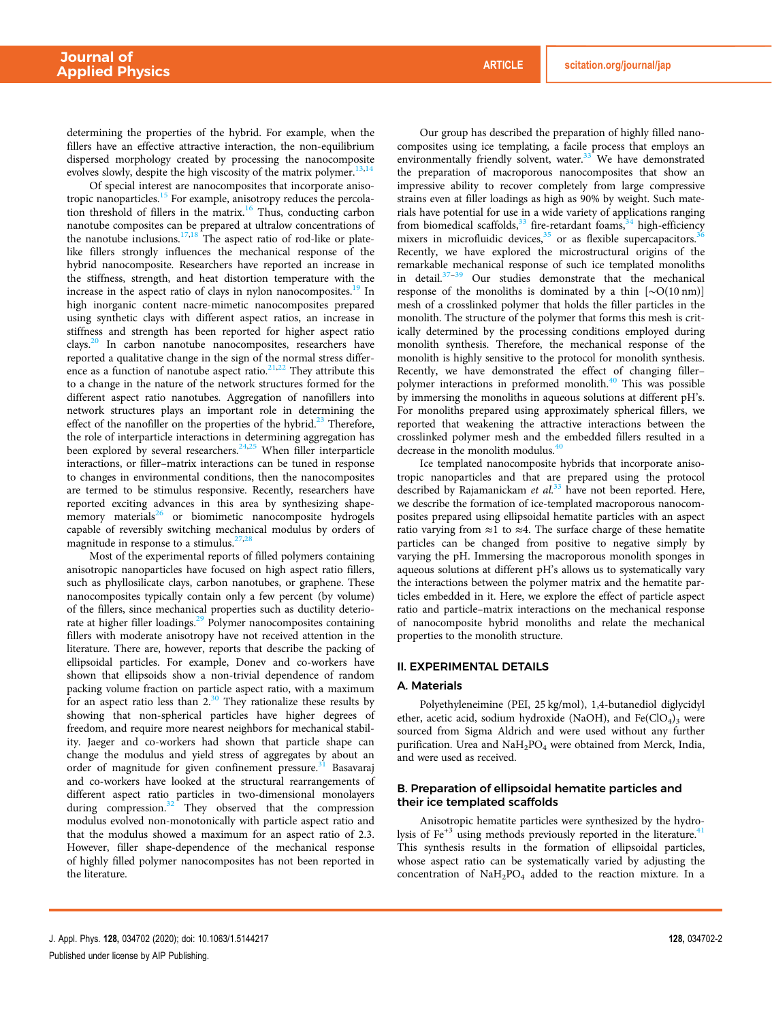determining the properties of the hybrid. For example, when the fillers have an effective attractive interaction, the non-equilibrium dispersed morphology created by processing the nanocomposite evolves slowly, despite the high viscosity of the matrix polymer.<sup>13,14</sup>

Of special interest are nanocomposites that incorporate anisotropic nanoparticles.<sup>15</sup> For example, anisotropy reduces the percolation threshold of fillers in the matrix.<sup>16</sup> Thus, conducting carbon nanotube composites can be prepared at ultralow concentrations of the nanotube inclusions.<sup>17,18</sup> The aspect ratio of rod-like or platelike fillers strongly influences the mechanical response of the hybrid nanocomposite. Researchers have reported an increase in the stiffness, strength, and heat distortion temperature with the increase in the aspect ratio of clays in nylon nanocomposites.<sup>19</sup> In high inorganic content nacre-mimetic nanocomposites prepared using synthetic clays with different aspect ratios, an increase in stiffness and strength has been reported for higher aspect ratio clays.<sup>20</sup> In carbon nanotube nanocomposites, researchers have reported a qualitative change in the sign of the normal stress difference as a function of nanotube aspect ratio. $21,22$  They attribute this to a change in the nature of the network structures formed for the different aspect ratio nanotubes. Aggregation of nanofillers into network structures plays an important role in determining the effect of the nanofiller on the properties of the hybrid.<sup>23</sup> Therefore, the role of interparticle interactions in determining aggregation has been explored by several researchers. $24,25$  When filler interparticle interactions, or filler–matrix interactions can be tuned in response to changes in environmental conditions, then the nanocomposites are termed to be stimulus responsive. Recently, researchers have reported exciting advances in this area by synthesizing shapememory materials<sup>26</sup> or biomimetic nanocomposite hydrogels capable of reversibly switching mechanical modulus by orders of magnitude in response to a stimulus. $27$ ,

Most of the experimental reports of filled polymers containing anisotropic nanoparticles have focused on high aspect ratio fillers, such as phyllosilicate clays, carbon nanotubes, or graphene. These nanocomposites typically contain only a few percent (by volume) of the fillers, since mechanical properties such as ductility deteriorate at higher filler loadings.<sup>29</sup> Polymer nanocomposites containing fillers with moderate anisotropy have not received attention in the literature. There are, however, reports that describe the packing of ellipsoidal particles. For example, Donev and co-workers have shown that ellipsoids show a non-trivial dependence of random packing volume fraction on particle aspect ratio, with a maximum for an aspect ratio less than  $2^{30}$  They rationalize these results by showing that non-spherical particles have higher degrees of freedom, and require more nearest neighbors for mechanical stability. Jaeger and co-workers had shown that particle shape can change the modulus and yield stress of aggregates by about an order of magnitude for given confinement pressure.<sup>31</sup> Basavaraj and co-workers have looked at the structural rearrangements of different aspect ratio particles in two-dimensional monolayers during compression.<sup>32</sup> They observed that the compression modulus evolved non-monotonically with particle aspect ratio and that the modulus showed a maximum for an aspect ratio of 2.3. However, filler shape-dependence of the mechanical response of highly filled polymer nanocomposites has not been reported in the literature.

Our group has described the preparation of highly filled nanocomposites using ice templating, a facile process that employs an environmentally friendly solvent, water.<sup>33</sup> We have demonstrated the preparation of macroporous nanocomposites that show an impressive ability to recover completely from large compressive strains even at filler loadings as high as 90% by weight. Such materials have potential for use in a wide variety of applications ranging from biomedical scaffolds, $33$  fire-retardant foams, $34$  high-efficiency mixers in microfluidic devices,<sup>35</sup> or as flexible supercapacitors.<sup>3</sup> Recently, we have explored the microstructural origins of the remarkable mechanical response of such ice templated monoliths in detail. $37-39$  Our studies demonstrate that the mechanical response of the monoliths is dominated by a thin [∼O(10 nm)] mesh of a crosslinked polymer that holds the filler particles in the monolith. The structure of the polymer that forms this mesh is critically determined by the processing conditions employed during monolith synthesis. Therefore, the mechanical response of the monolith is highly sensitive to the protocol for monolith synthesis. Recently, we have demonstrated the effect of changing filler– polymer interactions in preformed monolith.<sup>40</sup> This was possible by immersing the monoliths in aqueous solutions at different pH's. For monoliths prepared using approximately spherical fillers, we reported that weakening the attractive interactions between the crosslinked polymer mesh and the embedded fillers resulted in a decrease in the monolith modulus.<sup>4</sup>

Ice templated nanocomposite hybrids that incorporate anisotropic nanoparticles and that are prepared using the protocol described by Rajamanickam *et al*. <sup>33</sup> have not been reported. Here, we describe the formation of ice-templated macroporous nanocomposites prepared using ellipsoidal hematite particles with an aspect ratio varying from  $\approx$ 1 to  $\approx$ 4. The surface charge of these hematite particles can be changed from positive to negative simply by varying the pH. Immersing the macroporous monolith sponges in aqueous solutions at different pH's allows us to systematically vary the interactions between the polymer matrix and the hematite particles embedded in it. Here, we explore the effect of particle aspect ratio and particle–matrix interactions on the mechanical response of nanocomposite hybrid monoliths and relate the mechanical properties to the monolith structure.

#### II. EXPERIMENTAL DETAILS

#### A. Materials

Polyethyleneimine (PEI, 25 kg/mol), 1,4-butanediol diglycidyl ether, acetic acid, sodium hydroxide (NaOH), and  $Fe(CIO<sub>4</sub>)<sub>3</sub>$  were sourced from Sigma Aldrich and were used without any further purification. Urea and NaH<sub>2</sub>PO<sub>4</sub> were obtained from Merck, India, and were used as received.

#### B. Preparation of ellipsoidal hematite particles and their ice templated scaffolds

Anisotropic hematite particles were synthesized by the hydrolysis of  $Fe^{+3}$  using methods previously reported in the literature.<sup>41</sup> This synthesis results in the formation of ellipsoidal particles, whose aspect ratio can be systematically varied by adjusting the concentration of  $\text{NaH}_2\text{PO}_4$  added to the reaction mixture. In a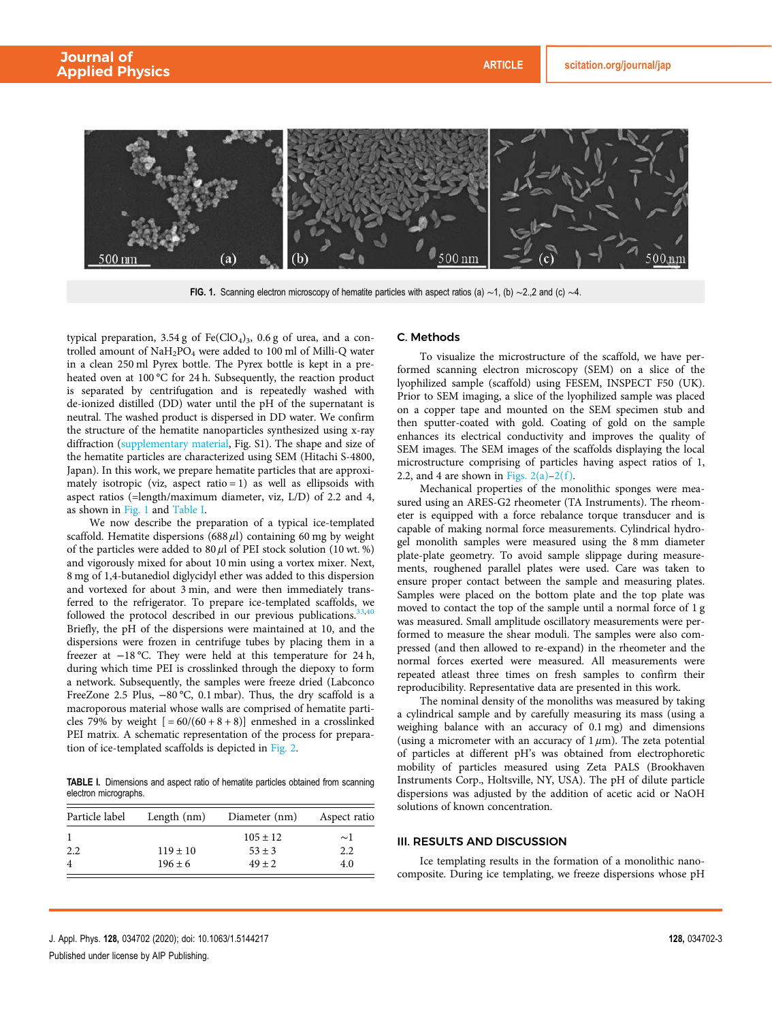

FIG. 1. Scanning electron microscopy of hematite particles with aspect ratios (a)  $\sim$ 1, (b)  $\sim$ 2.,2 and (c)  $\sim$ 4.

typical preparation,  $3.54 \text{ g}$  of Fe(ClO<sub>4</sub>)<sub>3</sub>, 0.6  $\text{g}$  of urea, and a controlled amount of  $\text{NaH}_2\text{PO}_4$  were added to 100 ml of Milli-Q water in a clean 250 ml Pyrex bottle. The Pyrex bottle is kept in a preheated oven at 100 °C for 24 h. Subsequently, the reaction product is separated by centrifugation and is repeatedly washed with de-ionized distilled (DD) water until the pH of the supernatant is neutral. The washed product is dispersed in DD water. We confirm the structure of the hematite nanoparticles synthesized using x-ray diffraction (supplementary material, Fig. S1). The shape and size of the hematite particles are characterized using SEM (Hitachi S-4800, Japan). In this work, we prepare hematite particles that are approximately isotropic (viz, aspect ratio  $= 1$ ) as well as ellipsoids with aspect ratios (=length/maximum diameter, viz, L/D) of 2.2 and 4, as shown in Fig. 1 and Table I.

We now describe the preparation of a typical ice-templated scaffold. Hematite dispersions  $(688 \,\mu\text{I})$  containing 60 mg by weight of the particles were added to  $80 \mu l$  of PEI stock solution (10 wt. %) and vigorously mixed for about 10 min using a vortex mixer. Next, 8 mg of 1,4-butanediol diglycidyl ether was added to this dispersion and vortexed for about 3 min, and were then immediately transferred to the refrigerator. To prepare ice-templated scaffolds, we followed the protocol described in our previous publications. $33,40$ Briefly, the pH of the dispersions were maintained at 10, and the dispersions were frozen in centrifuge tubes by placing them in a freezer at −18 °C. They were held at this temperature for 24 h, during which time PEI is crosslinked through the diepoxy to form a network. Subsequently, the samples were freeze dried (Labconco FreeZone 2.5 Plus, −80 °C, 0.1 mbar). Thus, the dry scaffold is a macroporous material whose walls are comprised of hematite particles 79% by weight  $[ = 60/(60 + 8 + 8)]$  enmeshed in a crosslinked PEI matrix. A schematic representation of the process for preparation of ice-templated scaffolds is depicted in Fig. 2.

TABLE I. Dimensions and aspect ratio of hematite particles obtained from scanning electron micrographs.

| Particle label | Length $(nm)$ | Diameter (nm) | Aspect ratio |
|----------------|---------------|---------------|--------------|
|                |               | $105 \pm 12$  | $\sim$ 1     |
| 2.2            | $119 \pm 10$  | $53 \pm 3$    | 2.2          |
|                | $196 \pm 6$   | $49 \pm 2$    | 4.0          |

#### C. Methods

To visualize the microstructure of the scaffold, we have performed scanning electron microscopy (SEM) on a slice of the lyophilized sample (scaffold) using FESEM, INSPECT F50 (UK). Prior to SEM imaging, a slice of the lyophilized sample was placed on a copper tape and mounted on the SEM specimen stub and then sputter-coated with gold. Coating of gold on the sample enhances its electrical conductivity and improves the quality of SEM images. The SEM images of the scaffolds displaying the local microstructure comprising of particles having aspect ratios of 1, 2.2, and 4 are shown in Figs.  $2(a)-2(f)$ .

Mechanical properties of the monolithic sponges were measured using an ARES-G2 rheometer (TA Instruments). The rheometer is equipped with a force rebalance torque transducer and is capable of making normal force measurements. Cylindrical hydrogel monolith samples were measured using the 8 mm diameter plate-plate geometry. To avoid sample slippage during measurements, roughened parallel plates were used. Care was taken to ensure proper contact between the sample and measuring plates. Samples were placed on the bottom plate and the top plate was moved to contact the top of the sample until a normal force of 1 g was measured. Small amplitude oscillatory measurements were performed to measure the shear moduli. The samples were also compressed (and then allowed to re-expand) in the rheometer and the normal forces exerted were measured. All measurements were repeated atleast three times on fresh samples to confirm their reproducibility. Representative data are presented in this work.

The nominal density of the monoliths was measured by taking a cylindrical sample and by carefully measuring its mass (using a weighing balance with an accuracy of 0.1 mg) and dimensions (using a micrometer with an accuracy of  $1 \mu$ m). The zeta potential of particles at different pH's was obtained from electrophoretic mobility of particles measured using Zeta PALS (Brookhaven Instruments Corp., Holtsville, NY, USA). The pH of dilute particle dispersions was adjusted by the addition of acetic acid or NaOH solutions of known concentration.

### III. RESULTS AND DISCUSSION

Ice templating results in the formation of a monolithic nanocomposite. During ice templating, we freeze dispersions whose pH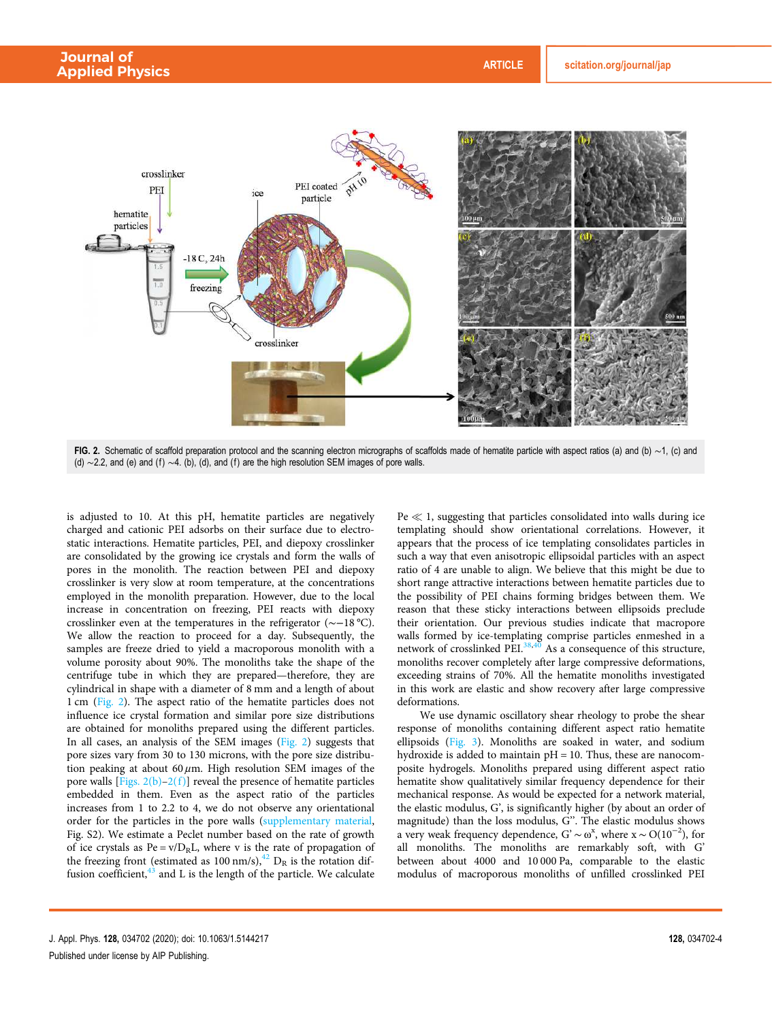

FIG. 2. Schematic of scaffold preparation protocol and the scanning electron micrographs of scaffolds made of hematite particle with aspect ratios (a) and (b) ∼1, (c) and (d) ∼2.2, and (e) and (f) ∼4. (b), (d), and (f) are the high resolution SEM images of pore walls.

is adjusted to 10. At this pH, hematite particles are negatively charged and cationic PEI adsorbs on their surface due to electrostatic interactions. Hematite particles, PEI, and diepoxy crosslinker are consolidated by the growing ice crystals and form the walls of pores in the monolith. The reaction between PEI and diepoxy crosslinker is very slow at room temperature, at the concentrations employed in the monolith preparation. However, due to the local increase in concentration on freezing, PEI reacts with diepoxy crosslinker even at the temperatures in the refrigerator (∼−18 °C). We allow the reaction to proceed for a day. Subsequently, the samples are freeze dried to yield a macroporous monolith with a volume porosity about 90%. The monoliths take the shape of the centrifuge tube in which they are prepared—therefore, they are cylindrical in shape with a diameter of 8 mm and a length of about 1 cm (Fig. 2). The aspect ratio of the hematite particles does not influence ice crystal formation and similar pore size distributions are obtained for monoliths prepared using the different particles. In all cases, an analysis of the SEM images (Fig. 2) suggests that pore sizes vary from 30 to 130 microns, with the pore size distribution peaking at about  $60 \mu m$ . High resolution SEM images of the pore walls  $[Figs. 2(b)-2(f)]$  reveal the presence of hematite particles embedded in them. Even as the aspect ratio of the particles increases from 1 to 2.2 to 4, we do not observe any orientational order for the particles in the pore walls (supplementary material, Fig. S2). We estimate a Peclet number based on the rate of growth of ice crystals as  $Pe = v/D_R L$ , where v is the rate of propagation of the freezing front (estimated as 100 nm/s),  $^{42}$  D<sub>R</sub> is the rotation diffusion coefficient, $43$  and L is the length of the particle. We calculate  $Pe \ll 1$ , suggesting that particles consolidated into walls during ice templating should show orientational correlations. However, it appears that the process of ice templating consolidates particles in such a way that even anisotropic ellipsoidal particles with an aspect ratio of 4 are unable to align. We believe that this might be due to short range attractive interactions between hematite particles due to the possibility of PEI chains forming bridges between them. We reason that these sticky interactions between ellipsoids preclude their orientation. Our previous studies indicate that macropore walls formed by ice-templating comprise particles enmeshed in a network of crosslinked PEI. $38,40$  As a consequence of this structure, monoliths recover completely after large compressive deformations, exceeding strains of 70%. All the hematite monoliths investigated in this work are elastic and show recovery after large compressive deformations.

We use dynamic oscillatory shear rheology to probe the shear response of monoliths containing different aspect ratio hematite ellipsoids (Fig. 3). Monoliths are soaked in water, and sodium hydroxide is added to maintain  $pH = 10$ . Thus, these are nanocomposite hydrogels. Monoliths prepared using different aspect ratio hematite show qualitatively similar frequency dependence for their mechanical response. As would be expected for a network material, the elastic modulus, G', is significantly higher (by about an order of magnitude) than the loss modulus, G''. The elastic modulus shows a very weak frequency dependence,  $G' \sim \omega^x$ , where  $x \sim O(10^{-2})$ , for all monoliths. The monoliths are remarkably soft, with G' between about 4000 and 10 000 Pa, comparable to the elastic modulus of macroporous monoliths of unfilled crosslinked PEI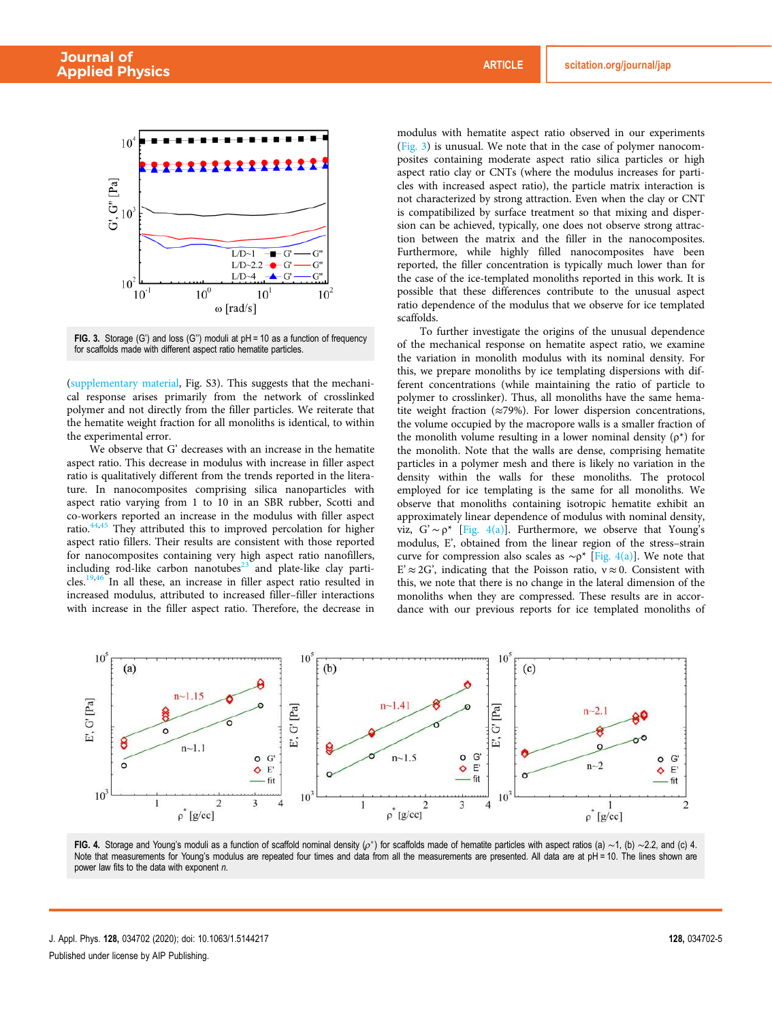

FIG. 3. Storage (G') and loss (G'') moduli at pH = 10 as a function of frequency for scaffolds made with different aspect ratio hematite particles.

(supplementary material, Fig. S3). This suggests that the mechanical response arises primarily from the network of crosslinked polymer and not directly from the filler particles. We reiterate that the hematite weight fraction for all monoliths is identical, to within the experimental error.

We observe that G' decreases with an increase in the hematite aspect ratio. This decrease in modulus with increase in filler aspect ratio is qualitatively different from the trends reported in the literature. In nanocomposites comprising silica nanoparticles with aspect ratio varying from 1 to 10 in an SBR rubber, Scotti and co-workers reported an increase in the modulus with filler aspect ratio.<sup>44,45</sup> They attributed this to improved percolation for higher aspect ratio fillers. Their results are consistent with those reported for nanocomposites containing very high aspect ratio nanofillers, including rod-like carbon nanotubes $23$  and plate-like clay particles.19,46 In all these, an increase in filler aspect ratio resulted in increased modulus, attributed to increased filler–filler interactions with increase in the filler aspect ratio. Therefore, the decrease in modulus with hematite aspect ratio observed in our experiments (Fig. 3) is unusual. We note that in the case of polymer nanocomposites containing moderate aspect ratio silica particles or high aspect ratio clay or CNTs (where the modulus increases for particles with increased aspect ratio), the particle matrix interaction is not characterized by strong attraction. Even when the clay or CNT is compatibilized by surface treatment so that mixing and dispersion can be achieved, typically, one does not observe strong attraction between the matrix and the filler in the nanocomposites. Furthermore, while highly filled nanocomposites have been reported, the filler concentration is typically much lower than for the case of the ice-templated monoliths reported in this work. It is possible that these differences contribute to the unusual aspect ratio dependence of the modulus that we observe for ice templated scaffolds.

To further investigate the origins of the unusual dependence of the mechanical response on hematite aspect ratio, we examine the variation in monolith modulus with its nominal density. For this, we prepare monoliths by ice templating dispersions with different concentrations (while maintaining the ratio of particle to polymer to crosslinker). Thus, all monoliths have the same hematite weight fraction (≈79%). For lower dispersion concentrations, the volume occupied by the macropore walls is a smaller fraction of the monolith volume resulting in a lower nominal density  $(\rho^*)$  for the monolith. Note that the walls are dense, comprising hematite particles in a polymer mesh and there is likely no variation in the density within the walls for these monoliths. The protocol employed for ice templating is the same for all monoliths. We observe that monoliths containing isotropic hematite exhibit an approximately linear dependence of modulus with nominal density, viz,  $G' \sim \rho^*$  [Fig. 4(a)]. Furthermore, we observe that Young's modulus, E', obtained from the linear region of the stress–strain curve for compression also scales as  $\sim p^*$  [Fig. 4(a)]. We note that  $E' \approx 2G'$ , indicating that the Poisson ratio,  $v \approx 0$ . Consistent with this, we note that there is no change in the lateral dimension of the monoliths when they are compressed. These results are in accordance with our previous reports for ice templated monoliths of



FIG. 4. Storage and Young's moduli as a function of scaffold nominal density ( $\rho^*$ ) for scaffolds made of hematite particles with aspect ratios (a) ~1, (b) ~2.2, and (c) 4. Note that measurements for Young's modulus are repeated four times and data from all the measurements are presented. All data are at pH = 10. The lines shown are power law fits to the data with exponent  $n$ .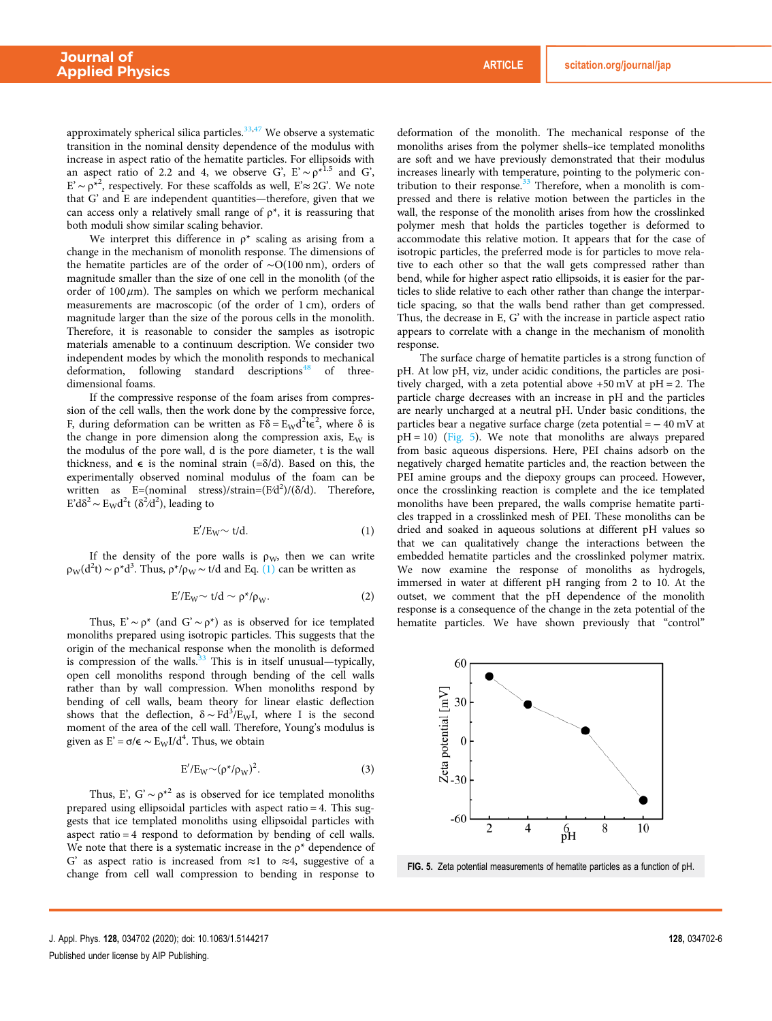approximately spherical silica particles.<sup>33,47</sup> We observe a systematic transition in the nominal density dependence of the modulus with increase in aspect ratio of the hematite particles. For ellipsoids with an aspect ratio of 2.2 and 4, we observe G',  $E' \sim \rho^{*1.5}$  and G',  $E' \sim \rho^*$ <sup>2</sup>, respectively. For these scaffolds as well,  $E \approx 2G'$ . We note that G' and E are independent quantities—therefore, given that we can access only a relatively small range of  $\rho^*$ , it is reassuring that both moduli show similar scaling behavior.

We interpret this difference in  $\rho^*$  scaling as arising from a change in the mechanism of monolith response. The dimensions of the hematite particles are of the order of ∼O(100 nm), orders of magnitude smaller than the size of one cell in the monolith (of the order of  $100 \mu m$ ). The samples on which we perform mechanical measurements are macroscopic (of the order of 1 cm), orders of magnitude larger than the size of the porous cells in the monolith. Therefore, it is reasonable to consider the samples as isotropic materials amenable to a continuum description. We consider two independent modes by which the monolith responds to mechanical deformation, following standard descriptions<sup>48</sup> of threedimensional foams.

If the compressive response of the foam arises from compression of the cell walls, then the work done by the compressive force, F, during deformation can be written as  $\vec{F} \delta = E_W d^2 t \vec{\epsilon}^2$ , where  $\delta$  is the change in pore dimension along the compression axis,  $E_W$  is the modulus of the pore wall, d is the pore diameter, t is the wall thickness, and  $\epsilon$  is the nominal strain (= $\delta/d$ ). Based on this, the experimentally observed nominal modulus of the foam can be written as  $E=(nominal stress)/strain=(F/d^2)/(\delta/d)$ . Therefore, E'd $\delta^2 \sim E_W d^2 t$  ( $\delta^2/d^2$ ), leading to

$$
E'/E_W \sim t/d. \tag{1}
$$

If the density of the pore walls is  $\rho_W$ , then we can write  $\rho_{\rm W}(d^2t) \sim \rho^*d^3$ . Thus,  $\rho^*/\rho_{\rm W} \sim t/d$  and Eq. (1) can be written as

$$
E'/E_W \sim t/d \sim \rho^* / \rho_W. \tag{2}
$$

Thus, E'  $\sim \rho^*$  (and G'  $\sim \rho^*$ ) as is observed for ice templated monoliths prepared using isotropic particles. This suggests that the origin of the mechanical response when the monolith is deformed is compression of the walls. $33$  This is in itself unusual—typically, open cell monoliths respond through bending of the cell walls rather than by wall compression. When monoliths respond by bending of cell walls, beam theory for linear elastic deflection shows that the deflection,  $\delta \sim \text{Fd}^3/\text{E}_\text{W} I$ , where I is the second moment of the area of the cell wall. Therefore, Young's modulus is given as  $E' = \sigma/\epsilon \sim E_{\rm W} I/d^4$ . Thus, we obtain

$$
E'/E_W \sim (\rho^* / \rho_W)^2.
$$
 (3)

Thus, E', G'  $\sim \rho^{*2}$  as is observed for ice templated monoliths prepared using ellipsoidal particles with aspect ratio = 4. This suggests that ice templated monoliths using ellipsoidal particles with aspect ratio = 4 respond to deformation by bending of cell walls. We note that there is a systematic increase in the  $p^*$  dependence of G' as aspect ratio is increased from  $\approx$ 1 to  $\approx$ 4, suggestive of a change from cell wall compression to bending in response to deformation of the monolith. The mechanical response of the monoliths arises from the polymer shells–ice templated monoliths are soft and we have previously demonstrated that their modulus increases linearly with temperature, pointing to the polymeric contribution to their response.<sup>33</sup> Therefore, when a monolith is compressed and there is relative motion between the particles in the wall, the response of the monolith arises from how the crosslinked polymer mesh that holds the particles together is deformed to accommodate this relative motion. It appears that for the case of isotropic particles, the preferred mode is for particles to move relative to each other so that the wall gets compressed rather than bend, while for higher aspect ratio ellipsoids, it is easier for the particles to slide relative to each other rather than change the interparticle spacing, so that the walls bend rather than get compressed. Thus, the decrease in E, G' with the increase in particle aspect ratio appears to correlate with a change in the mechanism of monolith response.

The surface charge of hematite particles is a strong function of pH. At low pH, viz, under acidic conditions, the particles are positively charged, with a zeta potential above  $+50$  mV at  $pH = 2$ . The particle charge decreases with an increase in pH and the particles are nearly uncharged at a neutral pH. Under basic conditions, the particles bear a negative surface charge (zeta potential = − 40 mV at  $pH = 10$ ) (Fig. 5). We note that monoliths are always prepared from basic aqueous dispersions. Here, PEI chains adsorb on the negatively charged hematite particles and, the reaction between the PEI amine groups and the diepoxy groups can proceed. However, once the crosslinking reaction is complete and the ice templated monoliths have been prepared, the walls comprise hematite particles trapped in a crosslinked mesh of PEI. These monoliths can be dried and soaked in aqueous solutions at different pH values so that we can qualitatively change the interactions between the embedded hematite particles and the crosslinked polymer matrix. We now examine the response of monoliths as hydrogels, immersed in water at different pH ranging from 2 to 10. At the outset, we comment that the pH dependence of the monolith response is a consequence of the change in the zeta potential of the hematite particles. We have shown previously that "control"



FIG. 5. Zeta potential measurements of hematite particles as a function of pH.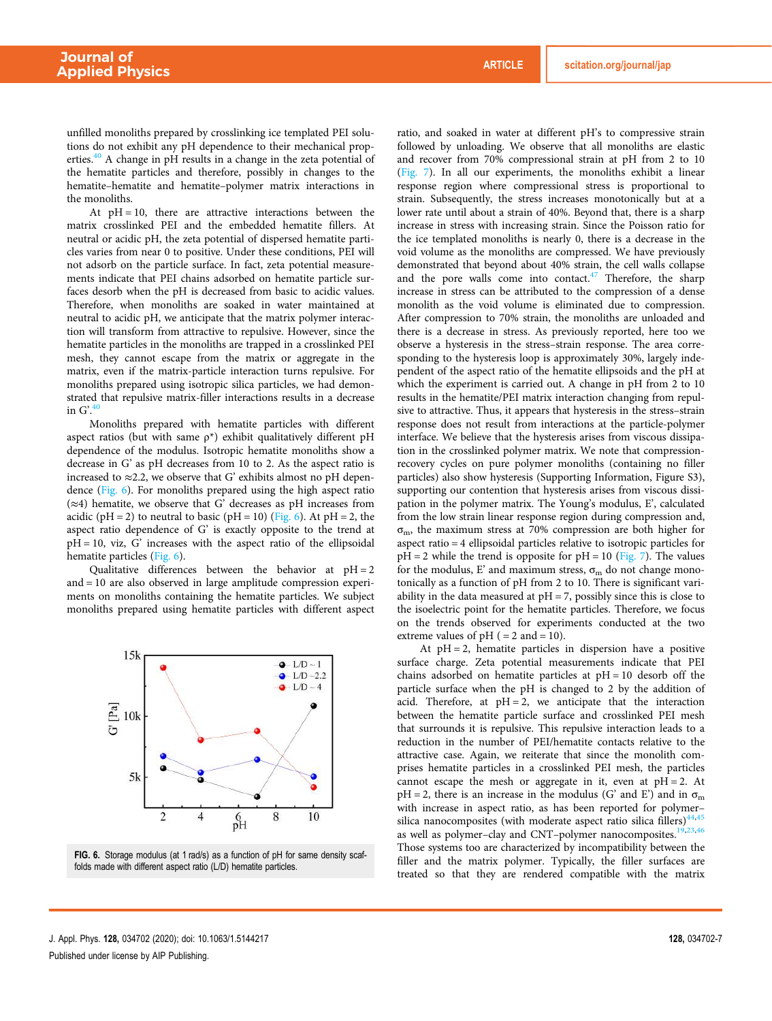unfilled monoliths prepared by crosslinking ice templated PEI solutions do not exhibit any pH dependence to their mechanical properties.<sup>40</sup> A change in pH results in a change in the zeta potential of the hematite particles and therefore, possibly in changes to the hematite–hematite and hematite–polymer matrix interactions in the monoliths.

At  $pH = 10$ , there are attractive interactions between the matrix crosslinked PEI and the embedded hematite fillers. At neutral or acidic pH, the zeta potential of dispersed hematite particles varies from near 0 to positive. Under these conditions, PEI will not adsorb on the particle surface. In fact, zeta potential measurements indicate that PEI chains adsorbed on hematite particle surfaces desorb when the pH is decreased from basic to acidic values. Therefore, when monoliths are soaked in water maintained at neutral to acidic pH, we anticipate that the matrix polymer interaction will transform from attractive to repulsive. However, since the hematite particles in the monoliths are trapped in a crosslinked PEI mesh, they cannot escape from the matrix or aggregate in the matrix, even if the matrix-particle interaction turns repulsive. For monoliths prepared using isotropic silica particles, we had demonstrated that repulsive matrix-filler interactions results in a decrease in  $G'.^{40}$ 

Monoliths prepared with hematite particles with different aspect ratios (but with same  $p^*$ ) exhibit qualitatively different pH dependence of the modulus. Isotropic hematite monoliths show a decrease in G' as pH decreases from 10 to 2. As the aspect ratio is increased to  $\approx$  2.2, we observe that G' exhibits almost no pH dependence (Fig. 6). For monoliths prepared using the high aspect ratio  $(\approx 4)$  hematite, we observe that G' decreases as pH increases from acidic (pH = 2) to neutral to basic (pH = 10) (Fig. 6). At pH = 2, the aspect ratio dependence of G' is exactly opposite to the trend at  $pH = 10$ , viz,  $G'$  increases with the aspect ratio of the ellipsoidal hematite particles (Fig. 6).

Qualitative differences between the behavior at  $pH = 2$ and = 10 are also observed in large amplitude compression experiments on monoliths containing the hematite particles. We subject monoliths prepared using hematite particles with different aspect



FIG. 6. Storage modulus (at 1 rad/s) as a function of pH for same density scaffolds made with different aspect ratio (L/D) hematite particles.

ratio, and soaked in water at different pH's to compressive strain followed by unloading. We observe that all monoliths are elastic and recover from 70% compressional strain at pH from 2 to 10 (Fig. 7). In all our experiments, the monoliths exhibit a linear response region where compressional stress is proportional to strain. Subsequently, the stress increases monotonically but at a lower rate until about a strain of 40%. Beyond that, there is a sharp increase in stress with increasing strain. Since the Poisson ratio for the ice templated monoliths is nearly 0, there is a decrease in the void volume as the monoliths are compressed. We have previously demonstrated that beyond about 40% strain, the cell walls collapse and the pore walls come into contact.<sup>47</sup> Therefore, the sharp increase in stress can be attributed to the compression of a dense monolith as the void volume is eliminated due to compression. After compression to 70% strain, the monoliths are unloaded and there is a decrease in stress. As previously reported, here too we observe a hysteresis in the stress–strain response. The area corresponding to the hysteresis loop is approximately 30%, largely independent of the aspect ratio of the hematite ellipsoids and the pH at which the experiment is carried out. A change in pH from 2 to 10 results in the hematite/PEI matrix interaction changing from repulsive to attractive. Thus, it appears that hysteresis in the stress–strain response does not result from interactions at the particle-polymer interface. We believe that the hysteresis arises from viscous dissipation in the crosslinked polymer matrix. We note that compressionrecovery cycles on pure polymer monoliths (containing no filler particles) also show hysteresis (Supporting Information, Figure S3), supporting our contention that hysteresis arises from viscous dissipation in the polymer matrix. The Young's modulus, E', calculated from the low strain linear response region during compression and,  $\sigma_{\rm m}$ , the maximum stress at 70% compression are both higher for aspect ratio = 4 ellipsoidal particles relative to isotropic particles for  $pH = 2$  while the trend is opposite for  $pH = 10$  (Fig. 7). The values for the modulus, E' and maximum stress,  $\sigma_m$  do not change monotonically as a function of pH from 2 to 10. There is significant variability in the data measured at  $pH = 7$ , possibly since this is close to the isoelectric point for the hematite particles. Therefore, we focus on the trends observed for experiments conducted at the two extreme values of  $pH$  ( = 2 and = 10).

At  $pH = 2$ , hematite particles in dispersion have a positive surface charge. Zeta potential measurements indicate that PEI chains adsorbed on hematite particles at  $pH = 10$  desorb off the particle surface when the pH is changed to 2 by the addition of acid. Therefore, at  $pH = 2$ , we anticipate that the interaction between the hematite particle surface and crosslinked PEI mesh that surrounds it is repulsive. This repulsive interaction leads to a reduction in the number of PEI/hematite contacts relative to the attractive case. Again, we reiterate that since the monolith comprises hematite particles in a crosslinked PEI mesh, the particles cannot escape the mesh or aggregate in it, even at  $pH = 2$ . At  $pH = 2$ , there is an increase in the modulus (G' and E') and in  $\sigma_m$ with increase in aspect ratio, as has been reported for polymer– silica nanocomposites (with moderate aspect ratio silica fillers) $44,45$ as well as polymer-clay and CNT-polymer nanocomposites.<sup>19,23,46</sup> Those systems too are characterized by incompatibility between the filler and the matrix polymer. Typically, the filler surfaces are treated so that they are rendered compatible with the matrix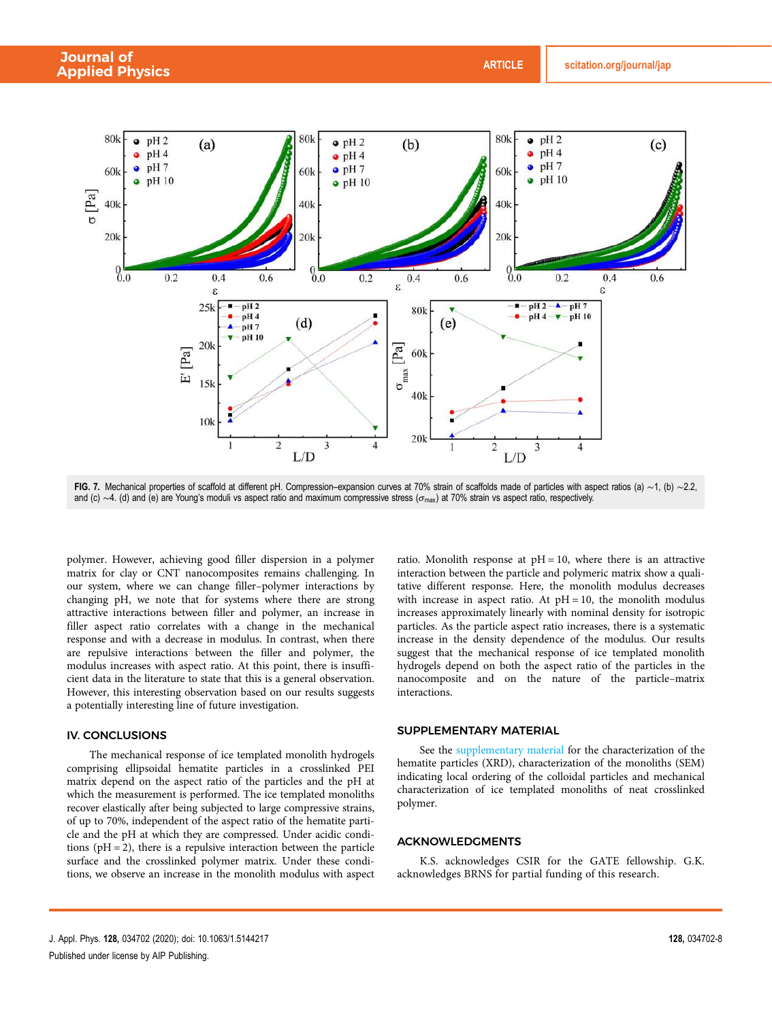

FIG. 7. Mechanical properties of scaffold at different pH. Compression–expansion curves at 70% strain of scaffolds made of particles with aspect ratios (a) ~1, (b) ~2.2, and (c)  $\sim$ 4. (d) and (e) are Young's moduli vs aspect ratio and maximum compressive stress ( $\sigma_{\text{max}}$ ) at 70% strain vs aspect ratio, respectively.

polymer. However, achieving good filler dispersion in a polymer matrix for clay or CNT nanocomposites remains challenging. In our system, where we can change filler–polymer interactions by changing pH, we note that for systems where there are strong attractive interactions between filler and polymer, an increase in filler aspect ratio correlates with a change in the mechanical response and with a decrease in modulus. In contrast, when there are repulsive interactions between the filler and polymer, the modulus increases with aspect ratio. At this point, there is insufficient data in the literature to state that this is a general observation. However, this interesting observation based on our results suggests a potentially interesting line of future investigation.

#### IV. CONCLUSIONS

The mechanical response of ice templated monolith hydrogels comprising ellipsoidal hematite particles in a crosslinked PEI matrix depend on the aspect ratio of the particles and the pH at which the measurement is performed. The ice templated monoliths recover elastically after being subjected to large compressive strains, of up to 70%, independent of the aspect ratio of the hematite particle and the pH at which they are compressed. Under acidic conditions ( $pH = 2$ ), there is a repulsive interaction between the particle surface and the crosslinked polymer matrix. Under these conditions, we observe an increase in the monolith modulus with aspect ratio. Monolith response at  $pH = 10$ , where there is an attractive interaction between the particle and polymeric matrix show a qualitative different response. Here, the monolith modulus decreases with increase in aspect ratio. At  $pH = 10$ , the monolith modulus increases approximately linearly with nominal density for isotropic particles. As the particle aspect ratio increases, there is a systematic increase in the density dependence of the modulus. Our results suggest that the mechanical response of ice templated monolith hydrogels depend on both the aspect ratio of the particles in the nanocomposite and on the nature of the particle–matrix interactions.

#### SUPPLEMENTARY MATERIAL

See the supplementary material for the characterization of the hematite particles (XRD), characterization of the monoliths (SEM) indicating local ordering of the colloidal particles and mechanical characterization of ice templated monoliths of neat crosslinked polymer.

#### ACKNOWLEDGMENTS

K.S. acknowledges CSIR for the GATE fellowship. G.K. acknowledges BRNS for partial funding of this research.